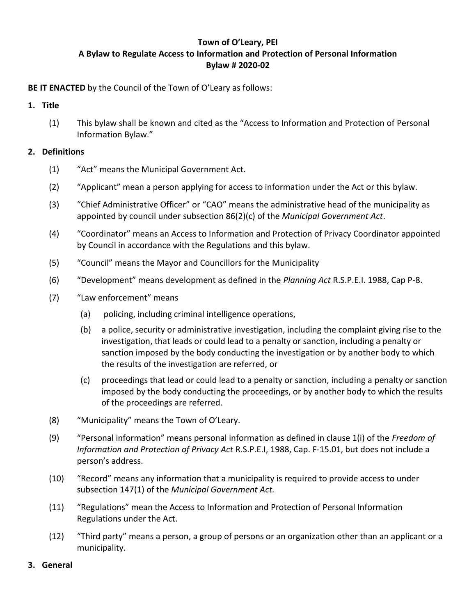# **Town of O'Leary, PEI A Bylaw to Regulate Access to Information and Protection of Personal Information Bylaw # 2020-02**

**BE IT ENACTED** by the Council of the Town of O'Leary as follows:

## **1. Title**

(1) This bylaw shall be known and cited as the "Access to Information and Protection of Personal Information Bylaw."

## **2. Definitions**

- (1) "Act" means the Municipal Government Act.
- (2) "Applicant" mean a person applying for access to information under the Act or this bylaw.
- (3) "Chief Administrative Officer" or "CAO" means the administrative head of the municipality as appointed by council under subsection 86(2)(c) of the *Municipal Government Act*.
- (4) "Coordinator" means an Access to Information and Protection of Privacy Coordinator appointed by Council in accordance with the Regulations and this bylaw.
- (5) "Council" means the Mayor and Councillors for the Municipality
- (6) "Development" means development as defined in the *Planning Act* R.S.P.E.I. 1988, Cap P-8.
- (7) "Law enforcement" means
	- (a) policing, including criminal intelligence operations,
	- (b) a police, security or administrative investigation, including the complaint giving rise to the investigation, that leads or could lead to a penalty or sanction, including a penalty or sanction imposed by the body conducting the investigation or by another body to which the results of the investigation are referred, or
	- (c) proceedings that lead or could lead to a penalty or sanction, including a penalty or sanction imposed by the body conducting the proceedings, or by another body to which the results of the proceedings are referred.
- (8) "Municipality" means the Town of O'Leary.
- (9) "Personal information" means personal information as defined in clause 1(i) of the *Freedom of Information and Protection of Privacy Act* R.S.P.E.I, 1988, Cap. F-15.01, but does not include a person's address.
- (10) "Record" means any information that a municipality is required to provide access to under subsection 147(1) of the *Municipal Government Act.*
- (11) "Regulations" mean the Access to Information and Protection of Personal Information Regulations under the Act.
- (12) "Third party" means a person, a group of persons or an organization other than an applicant or a municipality.

#### **3. General**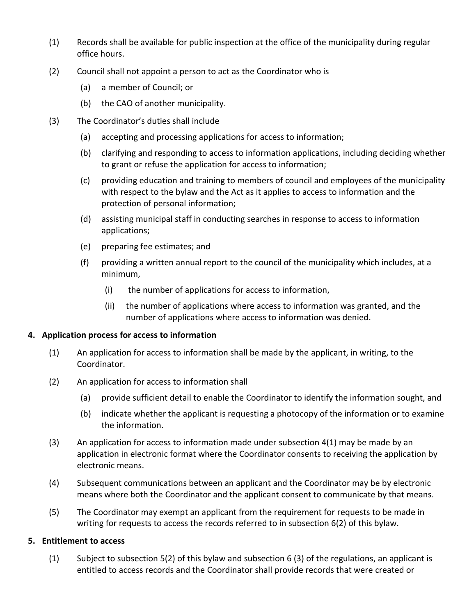- (1) Records shall be available for public inspection at the office of the municipality during regular office hours.
- (2) Council shall not appoint a person to act as the Coordinator who is
	- (a) a member of Council; or
	- (b) the CAO of another municipality.
- (3) The Coordinator's duties shall include
	- (a) accepting and processing applications for access to information;
	- (b) clarifying and responding to access to information applications, including deciding whether to grant or refuse the application for access to information;
	- (c) providing education and training to members of council and employees of the municipality with respect to the bylaw and the Act as it applies to access to information and the protection of personal information;
	- (d) assisting municipal staff in conducting searches in response to access to information applications;
	- (e) preparing fee estimates; and
	- (f) providing a written annual report to the council of the municipality which includes, at a minimum,
		- (i) the number of applications for access to information,
		- (ii) the number of applications where access to information was granted, and the number of applications where access to information was denied.

### **4. Application process for access to information**

- (1) An application for access to information shall be made by the applicant, in writing, to the Coordinator.
- (2) An application for access to information shall
	- (a) provide sufficient detail to enable the Coordinator to identify the information sought, and
	- (b) indicate whether the applicant is requesting a photocopy of the information or to examine the information.
- $(3)$  An application for access to information made under subsection 4(1) may be made by an application in electronic format where the Coordinator consents to receiving the application by electronic means.
- (4) Subsequent communications between an applicant and the Coordinator may be by electronic means where both the Coordinator and the applicant consent to communicate by that means.
- (5) The Coordinator may exempt an applicant from the requirement for requests to be made in writing for requests to access the records referred to in subsection 6(2) of this bylaw.

### **5. Entitlement to access**

(1) Subject to subsection 5(2) of this bylaw and subsection 6 (3) of the regulations, an applicant is entitled to access records and the Coordinator shall provide records that were created or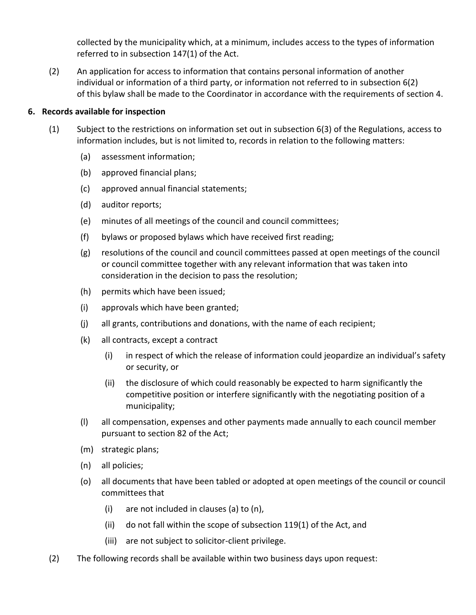collected by the municipality which, at a minimum, includes access to the types of information referred to in subsection 147(1) of the Act.

(2) An application for access to information that contains personal information of another individual or information of a third party, or information not referred to in subsection 6(2) of this bylaw shall be made to the Coordinator in accordance with the requirements of section 4.

## **6. Records available for inspection**

- (1) Subject to the restrictions on information set out in subsection 6(3) of the Regulations, access to information includes, but is not limited to, records in relation to the following matters:
	- (a) assessment information;
	- (b) approved financial plans;
	- (c) approved annual financial statements;
	- (d) auditor reports;
	- (e) minutes of all meetings of the council and council committees;
	- (f) bylaws or proposed bylaws which have received first reading;
	- (g) resolutions of the council and council committees passed at open meetings of the council or council committee together with any relevant information that was taken into consideration in the decision to pass the resolution;
	- (h) permits which have been issued;
	- (i) approvals which have been granted;
	- (j) all grants, contributions and donations, with the name of each recipient;
	- (k) all contracts, except a contract
		- (i) in respect of which the release of information could jeopardize an individual's safety or security, or
		- (ii) the disclosure of which could reasonably be expected to harm significantly the competitive position or interfere significantly with the negotiating position of a municipality;
	- (l) all compensation, expenses and other payments made annually to each council member pursuant to section 82 of the Act;
	- (m) strategic plans;
	- (n) all policies;
	- (o) all documents that have been tabled or adopted at open meetings of the council or council committees that
		- (i) are not included in clauses (a) to (n),
		- (ii) do not fall within the scope of subsection 119(1) of the Act, and
		- (iii) are not subject to solicitor-client privilege.
- (2) The following records shall be available within two business days upon request: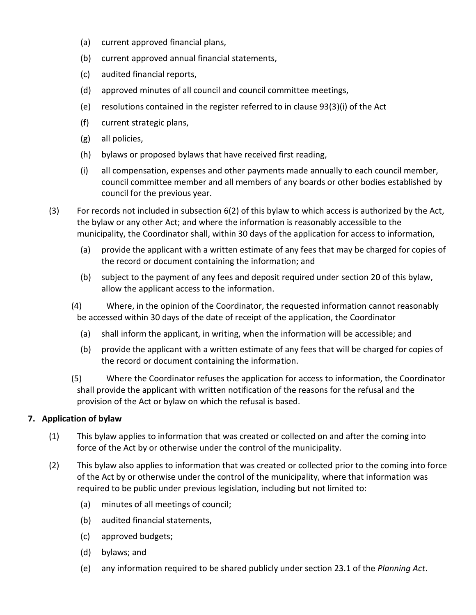- (a) current approved financial plans,
- (b) current approved annual financial statements,
- (c) audited financial reports,
- (d) approved minutes of all council and council committee meetings,
- (e) resolutions contained in the register referred to in clause 93(3)(i) of the Act
- (f) current strategic plans,
- (g) all policies,
- (h) bylaws or proposed bylaws that have received first reading,
- (i) all compensation, expenses and other payments made annually to each council member, council committee member and all members of any boards or other bodies established by council for the previous year.
- (3) For records not included in subsection 6(2) of this bylaw to which access is authorized by the Act, the bylaw or any other Act; and where the information is reasonably accessible to the municipality, the Coordinator shall, within 30 days of the application for access to information,
	- (a) provide the applicant with a written estimate of any fees that may be charged for copies of the record or document containing the information; and
	- (b) subject to the payment of any fees and deposit required under section 20 of this bylaw, allow the applicant access to the information.
	- (4) Where, in the opinion of the Coordinator, the requested information cannot reasonably be accessed within 30 days of the date of receipt of the application, the Coordinator
		- (a) shall inform the applicant, in writing, when the information will be accessible; and
		- (b) provide the applicant with a written estimate of any fees that will be charged for copies of the record or document containing the information.
	- (5) Where the Coordinator refuses the application for access to information, the Coordinator shall provide the applicant with written notification of the reasons for the refusal and the provision of the Act or bylaw on which the refusal is based.

## **7. Application of bylaw**

- (1) This bylaw applies to information that was created or collected on and after the coming into force of the Act by or otherwise under the control of the municipality.
- (2) This bylaw also applies to information that was created or collected prior to the coming into force of the Act by or otherwise under the control of the municipality, where that information was required to be public under previous legislation, including but not limited to:
	- (a) minutes of all meetings of council;
	- (b) audited financial statements,
	- (c) approved budgets;
	- (d) bylaws; and
	- (e) any information required to be shared publicly under section 23.1 of the *Planning Act*.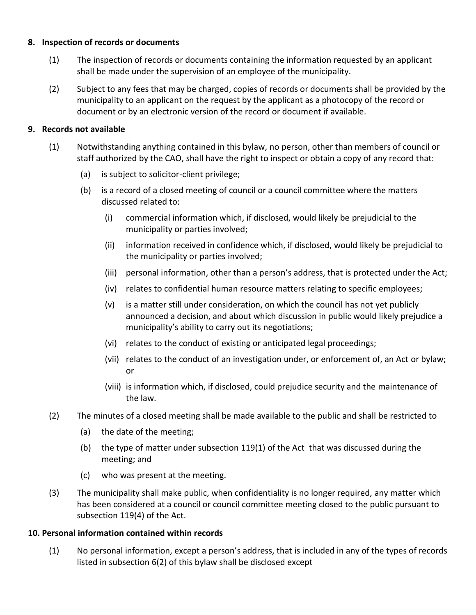## **8. Inspection of records or documents**

- (1) The inspection of records or documents containing the information requested by an applicant shall be made under the supervision of an employee of the municipality.
- (2) Subject to any fees that may be charged, copies of records or documents shall be provided by the municipality to an applicant on the request by the applicant as a photocopy of the record or document or by an electronic version of the record or document if available.

## **9. Records not available**

- (1) Notwithstanding anything contained in this bylaw, no person, other than members of council or staff authorized by the CAO, shall have the right to inspect or obtain a copy of any record that:
	- (a) is subject to solicitor-client privilege;
	- (b) is a record of a closed meeting of council or a council committee where the matters discussed related to:
		- (i) commercial information which, if disclosed, would likely be prejudicial to the municipality or parties involved;
		- (ii) information received in confidence which, if disclosed, would likely be prejudicial to the municipality or parties involved;
		- (iii) personal information, other than a person's address, that is protected under the Act;
		- (iv) relates to confidential human resource matters relating to specific employees;
		- (v) is a matter still under consideration, on which the council has not yet publicly announced a decision, and about which discussion in public would likely prejudice a municipality's ability to carry out its negotiations;
		- (vi) relates to the conduct of existing or anticipated legal proceedings;
		- (vii) relates to the conduct of an investigation under, or enforcement of, an Act or bylaw; or
		- (viii) is information which, if disclosed, could prejudice security and the maintenance of the law.
- (2) The minutes of a closed meeting shall be made available to the public and shall be restricted to
	- (a) the date of the meeting;
	- (b) the type of matter under subsection 119(1) of the Act that was discussed during the meeting; and
	- (c) who was present at the meeting.
- (3) The municipality shall make public, when confidentiality is no longer required, any matter which has been considered at a council or council committee meeting closed to the public pursuant to subsection 119(4) of the Act.

## **10. Personal information contained within records**

(1) No personal information, except a person's address, that is included in any of the types of records listed in subsection 6(2) of this bylaw shall be disclosed except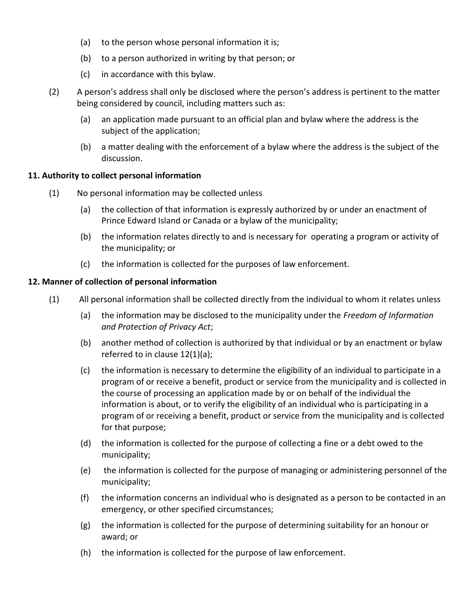- (a) to the person whose personal information it is;
- (b) to a person authorized in writing by that person; or
- (c) in accordance with this bylaw.
- (2) A person's address shall only be disclosed where the person's address is pertinent to the matter being considered by council, including matters such as:
	- (a) an application made pursuant to an official plan and bylaw where the address is the subject of the application;
	- (b) a matter dealing with the enforcement of a bylaw where the address is the subject of the discussion.

### **11. Authority to collect personal information**

- (1) No personal information may be collected unless
	- (a) the collection of that information is expressly authorized by or under an enactment of Prince Edward Island or Canada or a bylaw of the municipality;
	- (b) the information relates directly to and is necessary for operating a program or activity of the municipality; or
	- (c) the information is collected for the purposes of law enforcement.

### **12. Manner of collection of personal information**

- (1) All personal information shall be collected directly from the individual to whom it relates unless
	- (a) the information may be disclosed to the municipality under the *Freedom of Information and Protection of Privacy Act*;
	- (b) another method of collection is authorized by that individual or by an enactment or bylaw referred to in clause 12(1)(a);
	- (c) the information is necessary to determine the eligibility of an individual to participate in a program of or receive a benefit, product or service from the municipality and is collected in the course of processing an application made by or on behalf of the individual the information is about, or to verify the eligibility of an individual who is participating in a program of or receiving a benefit, product or service from the municipality and is collected for that purpose;
	- (d) the information is collected for the purpose of collecting a fine or a debt owed to the municipality;
	- (e) the information is collected for the purpose of managing or administering personnel of the municipality;
	- (f) the information concerns an individual who is designated as a person to be contacted in an emergency, or other specified circumstances;
	- (g) the information is collected for the purpose of determining suitability for an honour or award; or
	- (h) the information is collected for the purpose of law enforcement.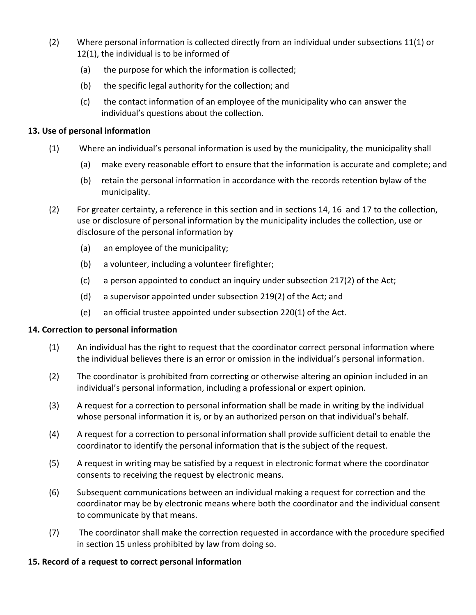- (2) Where personal information is collected directly from an individual under subsections 11(1) or 12(1), the individual is to be informed of
	- (a) the purpose for which the information is collected;
	- (b) the specific legal authority for the collection; and
	- (c) the contact information of an employee of the municipality who can answer the individual's questions about the collection.

## **13. Use of personal information**

- (1) Where an individual's personal information is used by the municipality, the municipality shall
	- (a) make every reasonable effort to ensure that the information is accurate and complete; and
	- (b) retain the personal information in accordance with the records retention bylaw of the municipality.
- (2) For greater certainty, a reference in this section and in sections 14, 16 and 17 to the collection, use or disclosure of personal information by the municipality includes the collection, use or disclosure of the personal information by
	- (a) an employee of the municipality;
	- (b) a volunteer, including a volunteer firefighter;
	- (c) a person appointed to conduct an inquiry under subsection 217(2) of the Act;
	- (d) a supervisor appointed under subsection 219(2) of the Act; and
	- (e) an official trustee appointed under subsection 220(1) of the Act.

### **14. Correction to personal information**

- (1) An individual has the right to request that the coordinator correct personal information where the individual believes there is an error or omission in the individual's personal information.
- (2) The coordinator is prohibited from correcting or otherwise altering an opinion included in an individual's personal information, including a professional or expert opinion.
- (3) A request for a correction to personal information shall be made in writing by the individual whose personal information it is, or by an authorized person on that individual's behalf.
- (4) A request for a correction to personal information shall provide sufficient detail to enable the coordinator to identify the personal information that is the subject of the request.
- (5) A request in writing may be satisfied by a request in electronic format where the coordinator consents to receiving the request by electronic means.
- (6) Subsequent communications between an individual making a request for correction and the coordinator may be by electronic means where both the coordinator and the individual consent to communicate by that means.
- (7) The coordinator shall make the correction requested in accordance with the procedure specified in section 15 unless prohibited by law from doing so.

### **15. Record of a request to correct personal information**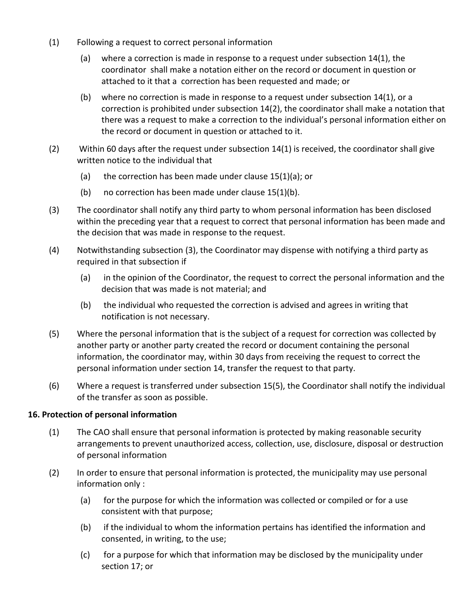- (1) Following a request to correct personal information
	- (a) where a correction is made in response to a request under subsection 14(1), the coordinator shall make a notation either on the record or document in question or attached to it that a correction has been requested and made; or
	- (b) where no correction is made in response to a request under subsection  $14(1)$ , or a correction is prohibited under subsection 14(2), the coordinator shall make a notation that there was a request to make a correction to the individual's personal information either on the record or document in question or attached to it.
- (2) Within 60 days after the request under subsection 14(1) is received, the coordinator shall give written notice to the individual that
	- (a) the correction has been made under clause  $15(1)(a)$ ; or
	- (b) no correction has been made under clause 15(1)(b).
- (3) The coordinator shall notify any third party to whom personal information has been disclosed within the preceding year that a request to correct that personal information has been made and the decision that was made in response to the request.
- (4) Notwithstanding subsection (3), the Coordinator may dispense with notifying a third party as required in that subsection if
	- (a) in the opinion of the Coordinator, the request to correct the personal information and the decision that was made is not material; and
	- (b) the individual who requested the correction is advised and agrees in writing that notification is not necessary.
- (5) Where the personal information that is the subject of a request for correction was collected by another party or another party created the record or document containing the personal information, the coordinator may, within 30 days from receiving the request to correct the personal information under section 14, transfer the request to that party.
- (6) Where a request is transferred under subsection 15(5), the Coordinator shall notify the individual of the transfer as soon as possible.

## **16. Protection of personal information**

- (1) The CAO shall ensure that personal information is protected by making reasonable security arrangements to prevent unauthorized access, collection, use, disclosure, disposal or destruction of personal information
- (2) In order to ensure that personal information is protected, the municipality may use personal information only :
	- (a) for the purpose for which the information was collected or compiled or for a use consistent with that purpose;
	- (b) if the individual to whom the information pertains has identified the information and consented, in writing, to the use;
	- (c) for a purpose for which that information may be disclosed by the municipality under section 17; or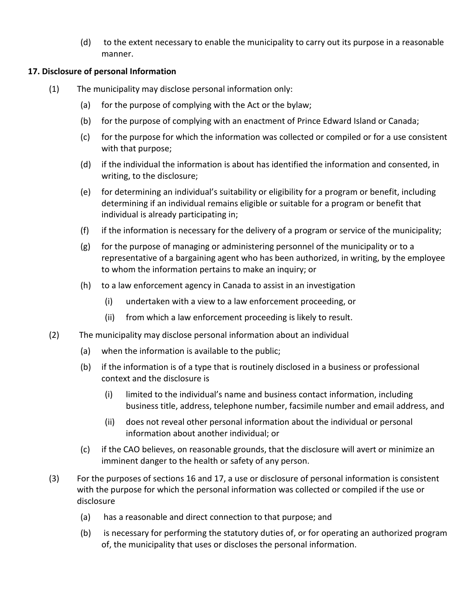(d) to the extent necessary to enable the municipality to carry out its purpose in a reasonable manner.

## **17. Disclosure of personal Information**

- (1) The municipality may disclose personal information only:
	- (a) for the purpose of complying with the Act or the bylaw;
	- (b) for the purpose of complying with an enactment of Prince Edward Island or Canada;
	- (c) for the purpose for which the information was collected or compiled or for a use consistent with that purpose;
	- (d) if the individual the information is about has identified the information and consented, in writing, to the disclosure;
	- (e) for determining an individual's suitability or eligibility for a program or benefit, including determining if an individual remains eligible or suitable for a program or benefit that individual is already participating in;
	- (f) if the information is necessary for the delivery of a program or service of the municipality;
	- (g) for the purpose of managing or administering personnel of the municipality or to a representative of a bargaining agent who has been authorized, in writing, by the employee to whom the information pertains to make an inquiry; or
	- (h) to a law enforcement agency in Canada to assist in an investigation
		- (i) undertaken with a view to a law enforcement proceeding, or
		- (ii) from which a law enforcement proceeding is likely to result.
- (2) The municipality may disclose personal information about an individual
	- (a) when the information is available to the public;
	- (b) if the information is of a type that is routinely disclosed in a business or professional context and the disclosure is
		- (i) limited to the individual's name and business contact information, including business title, address, telephone number, facsimile number and email address, and
		- (ii) does not reveal other personal information about the individual or personal information about another individual; or
	- (c) if the CAO believes, on reasonable grounds, that the disclosure will avert or minimize an imminent danger to the health or safety of any person.
- (3) For the purposes of sections 16 and 17, a use or disclosure of personal information is consistent with the purpose for which the personal information was collected or compiled if the use or disclosure
	- (a) has a reasonable and direct connection to that purpose; and
	- (b) is necessary for performing the statutory duties of, or for operating an authorized program of, the municipality that uses or discloses the personal information.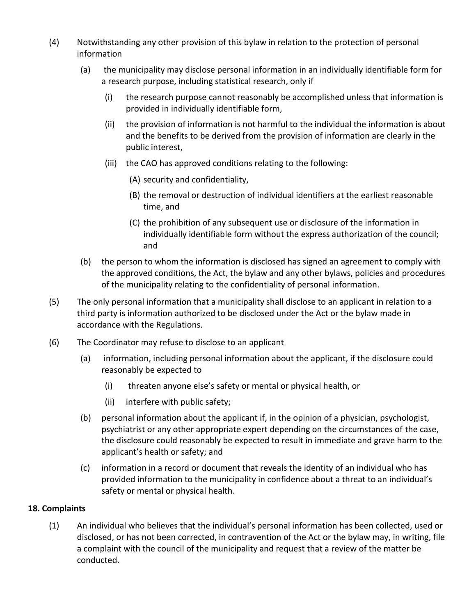- (4) Notwithstanding any other provision of this bylaw in relation to the protection of personal information
	- (a) the municipality may disclose personal information in an individually identifiable form for a research purpose, including statistical research, only if
		- (i) the research purpose cannot reasonably be accomplished unless that information is provided in individually identifiable form,
		- (ii) the provision of information is not harmful to the individual the information is about and the benefits to be derived from the provision of information are clearly in the public interest,
		- (iii) the CAO has approved conditions relating to the following:
			- (A) security and confidentiality,
			- (B) the removal or destruction of individual identifiers at the earliest reasonable time, and
			- (C) the prohibition of any subsequent use or disclosure of the information in individually identifiable form without the express authorization of the council; and
	- (b) the person to whom the information is disclosed has signed an agreement to comply with the approved conditions, the Act, the bylaw and any other bylaws, policies and procedures of the municipality relating to the confidentiality of personal information.
- (5) The only personal information that a municipality shall disclose to an applicant in relation to a third party is information authorized to be disclosed under the Act or the bylaw made in accordance with the Regulations.
- (6) The Coordinator may refuse to disclose to an applicant
	- (a) information, including personal information about the applicant, if the disclosure could reasonably be expected to
		- (i) threaten anyone else's safety or mental or physical health, or
		- (ii) interfere with public safety;
	- (b) personal information about the applicant if, in the opinion of a physician, psychologist, psychiatrist or any other appropriate expert depending on the circumstances of the case, the disclosure could reasonably be expected to result in immediate and grave harm to the applicant's health or safety; and
	- (c) information in a record or document that reveals the identity of an individual who has provided information to the municipality in confidence about a threat to an individual's safety or mental or physical health.

### **18. Complaints**

(1) An individual who believes that the individual's personal information has been collected, used or disclosed, or has not been corrected, in contravention of the Act or the bylaw may, in writing, file a complaint with the council of the municipality and request that a review of the matter be conducted.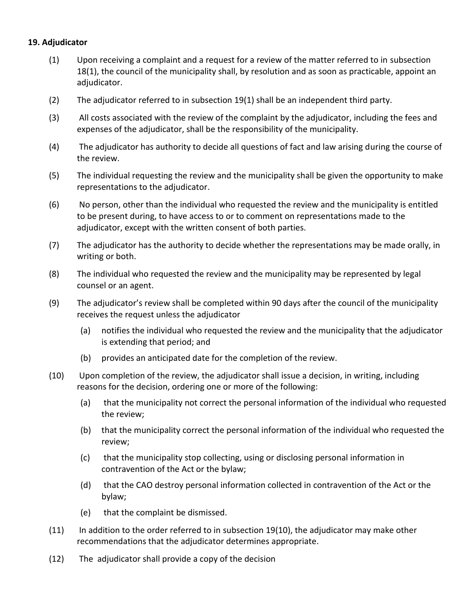#### **19. Adjudicator**

- (1) Upon receiving a complaint and a request for a review of the matter referred to in subsection 18(1), the council of the municipality shall, by resolution and as soon as practicable, appoint an adjudicator.
- (2) The adjudicator referred to in subsection 19(1) shall be an independent third party.
- (3) All costs associated with the review of the complaint by the adjudicator, including the fees and expenses of the adjudicator, shall be the responsibility of the municipality.
- (4) The adjudicator has authority to decide all questions of fact and law arising during the course of the review.
- (5) The individual requesting the review and the municipality shall be given the opportunity to make representations to the adjudicator.
- (6) No person, other than the individual who requested the review and the municipality is entitled to be present during, to have access to or to comment on representations made to the adjudicator, except with the written consent of both parties.
- (7) The adjudicator has the authority to decide whether the representations may be made orally, in writing or both.
- (8) The individual who requested the review and the municipality may be represented by legal counsel or an agent.
- (9) The adjudicator's review shall be completed within 90 days after the council of the municipality receives the request unless the adjudicator
	- (a) notifies the individual who requested the review and the municipality that the adjudicator is extending that period; and
	- (b) provides an anticipated date for the completion of the review.
- (10) Upon completion of the review, the adjudicator shall issue a decision, in writing, including reasons for the decision, ordering one or more of the following:
	- (a) that the municipality not correct the personal information of the individual who requested the review;
	- (b) that the municipality correct the personal information of the individual who requested the review;
	- (c) that the municipality stop collecting, using or disclosing personal information in contravention of the Act or the bylaw;
	- (d) that the CAO destroy personal information collected in contravention of the Act or the bylaw;
	- (e) that the complaint be dismissed.
- $(11)$  In addition to the order referred to in subsection 19(10), the adjudicator may make other recommendations that the adjudicator determines appropriate.
- (12) The adjudicator shall provide a copy of the decision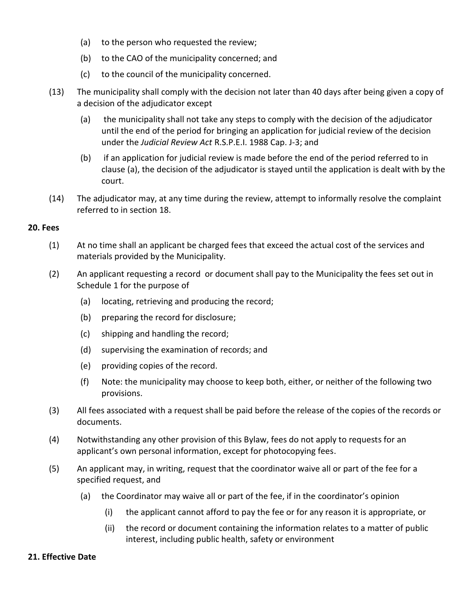- (a) to the person who requested the review;
- (b) to the CAO of the municipality concerned; and
- (c) to the council of the municipality concerned.
- (13) The municipality shall comply with the decision not later than 40 days after being given a copy of a decision of the adjudicator except
	- (a) the municipality shall not take any steps to comply with the decision of the adjudicator until the end of the period for bringing an application for judicial review of the decision under the *Judicial Review Act* R.S.P.E.I. 1988 Cap. J-3; and
	- (b) if an application for judicial review is made before the end of the period referred to in clause (a), the decision of the adjudicator is stayed until the application is dealt with by the court.
- (14) The adjudicator may, at any time during the review, attempt to informally resolve the complaint referred to in section 18.

#### **20. Fees**

- (1) At no time shall an applicant be charged fees that exceed the actual cost of the services and materials provided by the Municipality.
- (2) An applicant requesting a record or document shall pay to the Municipality the fees set out in Schedule 1 for the purpose of
	- (a) locating, retrieving and producing the record;
	- (b) preparing the record for disclosure;
	- (c) shipping and handling the record;
	- (d) supervising the examination of records; and
	- (e) providing copies of the record.
	- (f) Note: the municipality may choose to keep both, either, or neither of the following two provisions.
- (3) All fees associated with a request shall be paid before the release of the copies of the records or documents.
- (4) Notwithstanding any other provision of this Bylaw, fees do not apply to requests for an applicant's own personal information, except for photocopying fees.
- (5) An applicant may, in writing, request that the coordinator waive all or part of the fee for a specified request, and
	- (a) the Coordinator may waive all or part of the fee, if in the coordinator's opinion
		- (i) the applicant cannot afford to pay the fee or for any reason it is appropriate, or
		- (ii) the record or document containing the information relates to a matter of public interest, including public health, safety or environment

#### **21. Effective Date**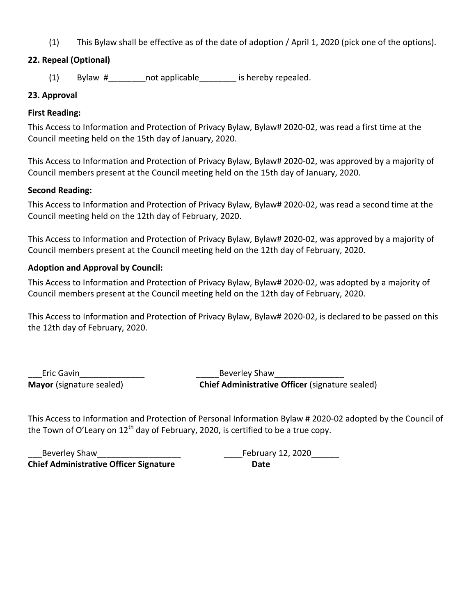(1) This Bylaw shall be effective as of the date of adoption / April 1, 2020 (pick one of the options).

# **22. Repeal (Optional)**

(1) Bylaw # not applicable is hereby repealed.

## **23. Approval**

## **First Reading:**

This Access to Information and Protection of Privacy Bylaw, Bylaw# 2020-02, was read a first time at the Council meeting held on the 15th day of January, 2020.

This Access to Information and Protection of Privacy Bylaw, Bylaw# 2020-02, was approved by a majority of Council members present at the Council meeting held on the 15th day of January, 2020.

## **Second Reading:**

This Access to Information and Protection of Privacy Bylaw, Bylaw# 2020-02, was read a second time at the Council meeting held on the 12th day of February, 2020.

This Access to Information and Protection of Privacy Bylaw, Bylaw# 2020-02, was approved by a majority of Council members present at the Council meeting held on the 12th day of February, 2020.

## **Adoption and Approval by Council:**

This Access to Information and Protection of Privacy Bylaw, Bylaw# 2020-02, was adopted by a majority of Council members present at the Council meeting held on the 12th day of February, 2020.

This Access to Information and Protection of Privacy Bylaw, Bylaw# 2020-02, is declared to be passed on this the 12th day of February, 2020.

Eric Gavin Theorem 2012 Shaw Beverley Shaw

**Mayor** (signature sealed) **Chief Administrative Officer** (signature sealed)

This Access to Information and Protection of Personal Information Bylaw # 2020-02 adopted by the Council of the Town of O'Leary on  $12<sup>th</sup>$  day of February, 2020, is certified to be a true copy.

Beverley Shaw  $\qquad \qquad$  . The February 12, 2020 **Chief Administrative Officer Signature Date**